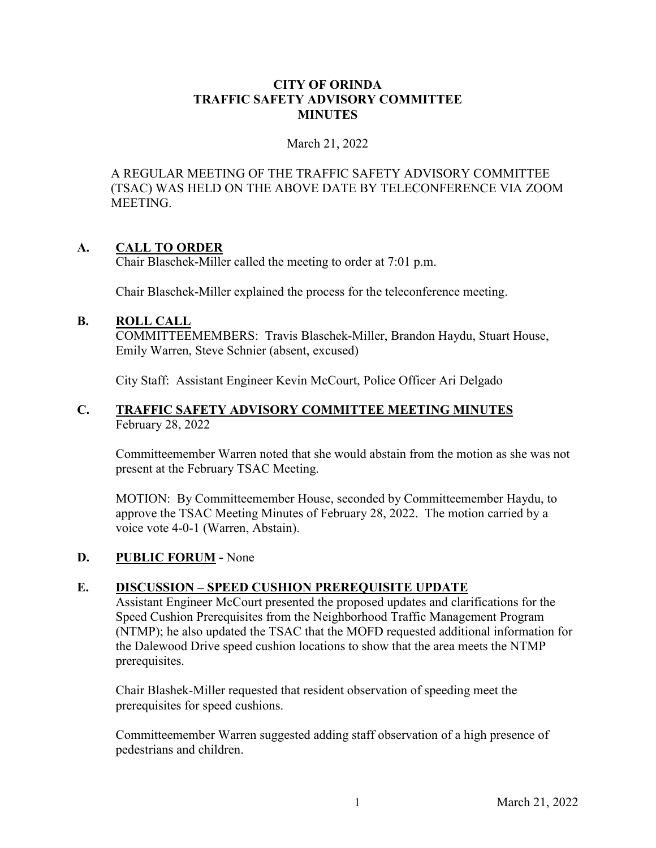### **CITY OF ORINDA TRAFFIC SAFETY ADVISORY COMMITTEE MINUTES**

### March 21, 2022

A REGULAR MEETING OF THE TRAFFIC SAFETY ADVISORY COMMITTEE (TSAC) WAS HELD ON THE ABOVE DATE BY TELECONFERENCE VIA ZOOM MEETING.

## **A. CALL TO ORDER**

Chair Blaschek-Miller called the meeting to order at 7:01 p.m.

Chair Blaschek-Miller explained the process for the teleconference meeting.

## **B. ROLL CALL**

COMMITTEEMEMBERS: Travis Blaschek-Miller, Brandon Haydu, Stuart House, Emily Warren, Steve Schnier (absent, excused)

City Staff: Assistant Engineer Kevin McCourt, Police Officer Ari Delgado

### **C. TRAFFIC SAFETY ADVISORY COMMITTEE MEETING MINUTES** February 28, 2022

Committeemember Warren noted that she would abstain from the motion as she was not present at the February TSAC Meeting.

MOTION: By Committeemember House, seconded by Committeemember Haydu, to approve the TSAC Meeting Minutes of February 28, 2022. The motion carried by a voice vote 4-0-1 (Warren, Abstain).

## **D. PUBLIC FORUM -** None

## **E. DISCUSSION – SPEED CUSHION PREREQUISITE UPDATE**

Assistant Engineer McCourt presented the proposed updates and clarifications for the Speed Cushion Prerequisites from the Neighborhood Traffic Management Program (NTMP); he also updated the TSAC that the MOFD requested additional information for the Dalewood Drive speed cushion locations to show that the area meets the NTMP prerequisites.

Chair Blashek-Miller requested that resident observation of speeding meet the prerequisites for speed cushions.

Committeemember Warren suggested adding staff observation of a high presence of pedestrians and children.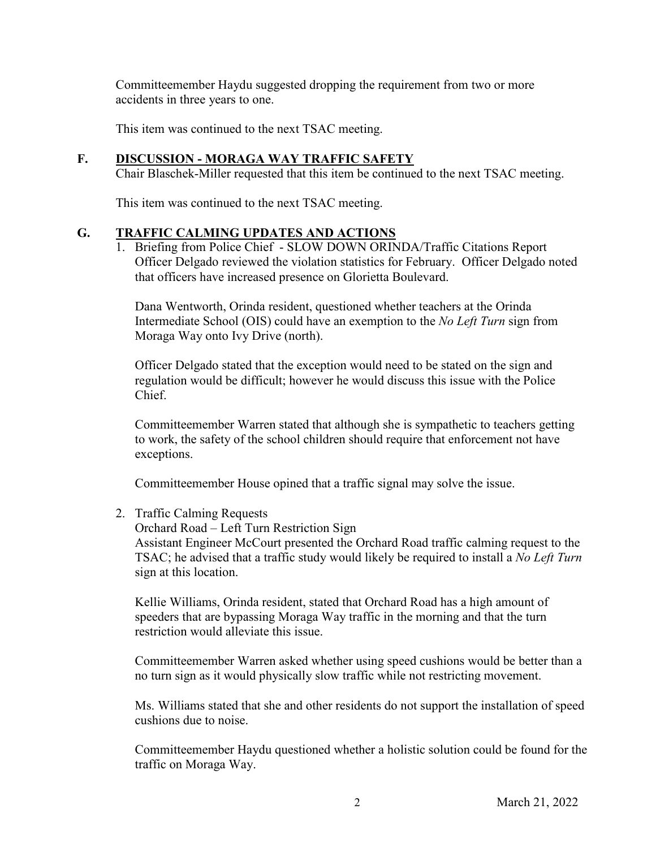Committeemember Haydu suggested dropping the requirement from two or more accidents in three years to one.

This item was continued to the next TSAC meeting.

## **F. DISCUSSION - MORAGA WAY TRAFFIC SAFETY**

Chair Blaschek-Miller requested that this item be continued to the next TSAC meeting.

This item was continued to the next TSAC meeting.

## **G. TRAFFIC CALMING UPDATES AND ACTIONS**

1. Briefing from Police Chief - SLOW DOWN ORINDA/Traffic Citations Report Officer Delgado reviewed the violation statistics for February. Officer Delgado noted that officers have increased presence on Glorietta Boulevard.

Dana Wentworth, Orinda resident, questioned whether teachers at the Orinda Intermediate School (OIS) could have an exemption to the *No Left Turn* sign from Moraga Way onto Ivy Drive (north).

Officer Delgado stated that the exception would need to be stated on the sign and regulation would be difficult; however he would discuss this issue with the Police Chief.

Committeemember Warren stated that although she is sympathetic to teachers getting to work, the safety of the school children should require that enforcement not have exceptions.

Committeemember House opined that a traffic signal may solve the issue.

## 2. Traffic Calming Requests

Orchard Road – Left Turn Restriction Sign

Assistant Engineer McCourt presented the Orchard Road traffic calming request to the TSAC; he advised that a traffic study would likely be required to install a *No Left Turn* sign at this location.

Kellie Williams, Orinda resident, stated that Orchard Road has a high amount of speeders that are bypassing Moraga Way traffic in the morning and that the turn restriction would alleviate this issue.

Committeemember Warren asked whether using speed cushions would be better than a no turn sign as it would physically slow traffic while not restricting movement.

Ms. Williams stated that she and other residents do not support the installation of speed cushions due to noise.

Committeemember Haydu questioned whether a holistic solution could be found for the traffic on Moraga Way.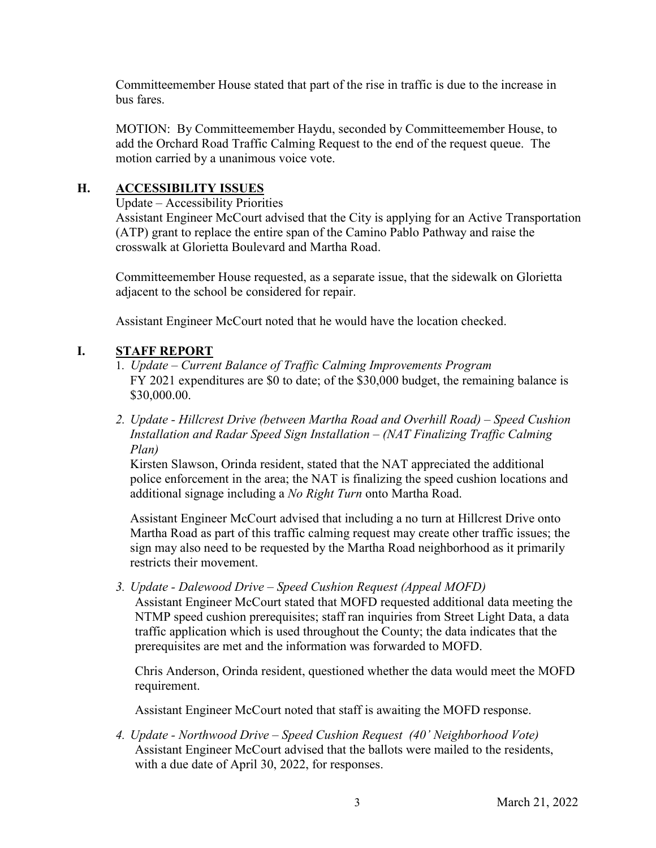Committeemember House stated that part of the rise in traffic is due to the increase in bus fares.

MOTION: By Committeemember Haydu, seconded by Committeemember House, to add the Orchard Road Traffic Calming Request to the end of the request queue. The motion carried by a unanimous voice vote.

# **H. ACCESSIBILITY ISSUES**

Update – Accessibility Priorities

 Assistant Engineer McCourt advised that the City is applying for an Active Transportation (ATP) grant to replace the entire span of the Camino Pablo Pathway and raise the crosswalk at Glorietta Boulevard and Martha Road.

 Committeemember House requested, as a separate issue, that the sidewalk on Glorietta adjacent to the school be considered for repair.

Assistant Engineer McCourt noted that he would have the location checked.

# **I. STAFF REPORT**

- 1. *Update Current Balance of Traffic Calming Improvements Program* FY 2021 expenditures are \$0 to date; of the \$30,000 budget, the remaining balance is \$30,000.00.
- *2. Update Hillcrest Drive (between Martha Road and Overhill Road) Speed Cushion Installation and Radar Speed Sign Installation – (NAT Finalizing Traffic Calming Plan)*

Kirsten Slawson, Orinda resident, stated that the NAT appreciated the additional police enforcement in the area; the NAT is finalizing the speed cushion locations and additional signage including a *No Right Turn* onto Martha Road.

Assistant Engineer McCourt advised that including a no turn at Hillcrest Drive onto Martha Road as part of this traffic calming request may create other traffic issues; the sign may also need to be requested by the Martha Road neighborhood as it primarily restricts their movement.

*3. Update - Dalewood Drive – Speed Cushion Request (Appeal MOFD)* 

Assistant Engineer McCourt stated that MOFD requested additional data meeting the NTMP speed cushion prerequisites; staff ran inquiries from Street Light Data, a data traffic application which is used throughout the County; the data indicates that the prerequisites are met and the information was forwarded to MOFD.

Chris Anderson, Orinda resident, questioned whether the data would meet the MOFD requirement.

Assistant Engineer McCourt noted that staff is awaiting the MOFD response.

*4. Update - Northwood Drive – Speed Cushion Request (40' Neighborhood Vote)*  Assistant Engineer McCourt advised that the ballots were mailed to the residents, with a due date of April 30, 2022, for responses.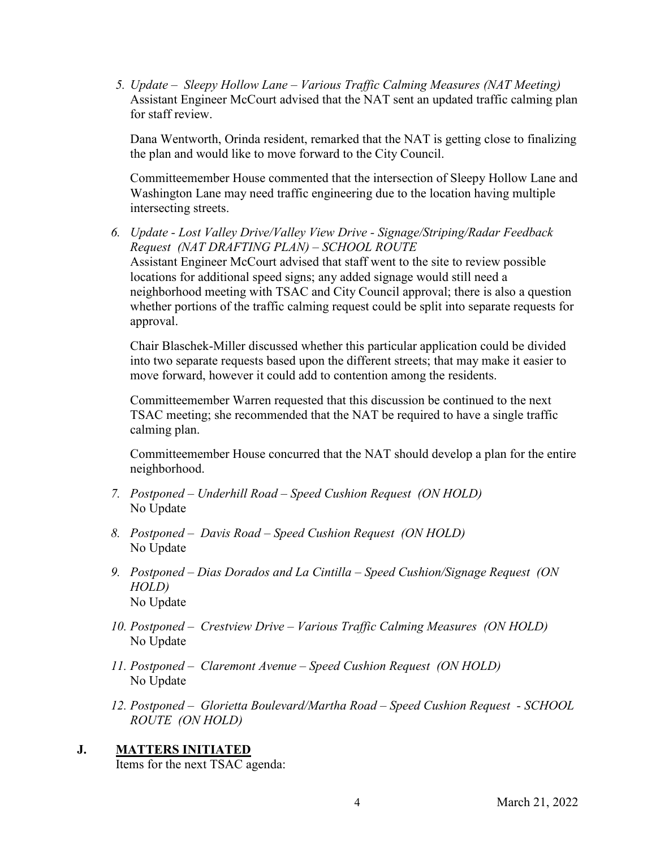*5. Update – Sleepy Hollow Lane – Various Traffic Calming Measures (NAT Meeting)*  Assistant Engineer McCourt advised that the NAT sent an updated traffic calming plan for staff review.

Dana Wentworth, Orinda resident, remarked that the NAT is getting close to finalizing the plan and would like to move forward to the City Council.

Committeemember House commented that the intersection of Sleepy Hollow Lane and Washington Lane may need traffic engineering due to the location having multiple intersecting streets.

*6. Update - Lost Valley Drive/Valley View Drive - Signage/Striping/Radar Feedback Request (NAT DRAFTING PLAN) – SCHOOL ROUTE* Assistant Engineer McCourt advised that staff went to the site to review possible locations for additional speed signs; any added signage would still need a neighborhood meeting with TSAC and City Council approval; there is also a question whether portions of the traffic calming request could be split into separate requests for approval.

Chair Blaschek-Miller discussed whether this particular application could be divided into two separate requests based upon the different streets; that may make it easier to move forward, however it could add to contention among the residents.

Committeemember Warren requested that this discussion be continued to the next TSAC meeting; she recommended that the NAT be required to have a single traffic calming plan.

Committeemember House concurred that the NAT should develop a plan for the entire neighborhood.

- *7. Postponed Underhill Road Speed Cushion Request (ON HOLD)*  No Update
- *8. Postponed Davis Road Speed Cushion Request (ON HOLD)*  No Update
- *9. Postponed Dias Dorados and La Cintilla Speed Cushion/Signage Request (ON HOLD)*  No Update
- *10. Postponed Crestview Drive Various Traffic Calming Measures (ON HOLD)*  No Update
- *11. Postponed Claremont Avenue Speed Cushion Request (ON HOLD)*  No Update
- *12. Postponed Glorietta Boulevard/Martha Road Speed Cushion Request SCHOOL ROUTE (ON HOLD)*

## **J. MATTERS INITIATED**

Items for the next TSAC agenda: